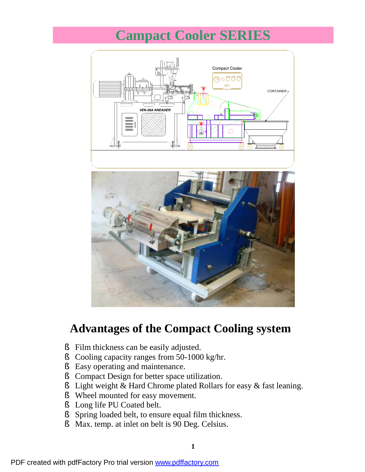## **Campact Cooler SERIES**



## **Advantages of the Compact Cooling system**

- § Film thickness can be easily adjusted.
- § Cooling capacity ranges from 50-1000 kg/hr.
- § Easy operating and maintenance.
- § Compact Design for better space utilization.
- § Light weight & Hard Chrome plated Rollars for easy & fast leaning.
- § Wheel mounted for easy movement.
- § Long life PU Coated belt.
- § Spring loaded belt, to ensure equal film thickness.
- § Max. temp. at inlet on belt is 90 Deg. Celsius.